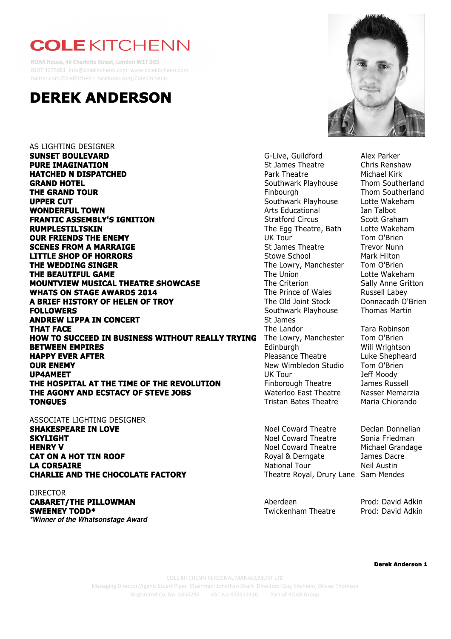## **COLE KITCHENN**

**ROAR House, 46 Charlotte Street, London W1T 2GS** 0207 4275681 info@colekitchenn.com www.colekitchenn.com twi8er.com/ColeKitchenn facebook.com/ColeKitchenn



AS LIGHTING DESIGNER **SUNSET BOULEVARD G-Live, Guildford** Alex Parker **PURE IMAGINATION St James Theatre** Chris Renshaw **HATCHED N DISPATCHED Park Theatre** Michael Kirk **GRAND HOTEL** Southwark Playhouse Thom Southerland **THE GRAND TOUR THE GRAND TOUR THE GRAND TOUR UPPER CUT Southwark Playhouse** Lotte Wakeham **WONDERFUL TOWN Arts Educational** Ian Talbot **FRANTIC ASSEMBLY'S IGNITION** Stratford Circus Scott Graham **RUMPLESTILTSKIN The Egg Theatre, Bath** Lotte Wakeham **OUR FRIENDS THE ENEMY** DUK Tour UK Tour Tom O'Brien **SCENES FROM A MARRAIGE St James Theatre** Trevor Nunn **LITTLE SHOP OF HORRORS** Stowe School Mark Hilton **THE WEDDING SINGER** THE LOWE THE LOWEY, Manchester Tom O'Brien **THE BEAUTIFUL GAME** The Union Lotte Wakeham **MOUNTVIEW MUSICAL THEATRE SHOWCASE** The Criterion Sally Anne Gritton **WHATS ON STAGE AWARDS 2014** The Prince of Wales Russell Labey **A BRIEF HISTORY OF HELEN OF TROY** The Old Joint Stock Donnacadh O'Brien **FOLLOWERS Southwark Playhouse** Thomas Martin **ANDREW LIPPA IN CONCERT** St James **THAT FACE** THE Landor The Landor The Landor Tara Robinson **HOW TO SUCCEED IN BUSINESS WITHOUT REALLY TRYING** The Lowry, Manchester Tom O'Brien **BETWEEN EMPIRES Edinburgh Will Wrightson HAPPY EVER AFTER Pleasance Theatre** Luke Shepheard **OUR ENEMY OUR ENEMY New Wimbledon Studio Tom O'Brien UP4AMEET** UK Tour Jeff Moody **THE HOSPITAL AT THE TIME OF THE REVOLUTION** Finborough Theatre James Russell **THE AGONY AND ECSTACY OF STEVE JOBS** Waterloo East Theatre Nasser Memarzia **TONGUES** Tristan Bates Theatre Maria Chiorando

ASSOCIATE LIGHTING DESIGNER **SHAKESPEARE IN LOVE Noel Coward Theatre** Declan Donnelian **SKYLIGHT** Noel Coward Theatre Sonia Friedman **HENRY V HENRY V Now SET All SECOND MEANS COWARD MEANS WE MEET ALL SECOND MEANS OF MICHAEL GRANDAGE CAT ON A HOT TIN ROOF Royal & Derngate** James Dacre **LA CORSAIRE** National Tour Neil Austin **CHARLIE AND THE CHOCOLATE FACTORY** Theatre Royal, Drury Lane Sam Mendes

DIRECTOR

**CABARET/THE PILLOWMAN CABARET/THE PILLOWMAN Aberdeen** Aberdeen Prod: David Adkin **SWEENEY TODD\*** The Controller Controller Controller Twickenham Theatre Prod: David Adkin *\*Winner of the Whatsonstage Award*



**Derek Anderson 1**

COLE KITCHENN PERSONAL MANAGEMENT LTD Managing Director/Agent: Stuart Piper Chairman: Jonathan Shalit Directors: Guy Kitchenn, Olivier Thomson Registered Co. No: 5350236 VAT No 853912316 Part of ROAR Group